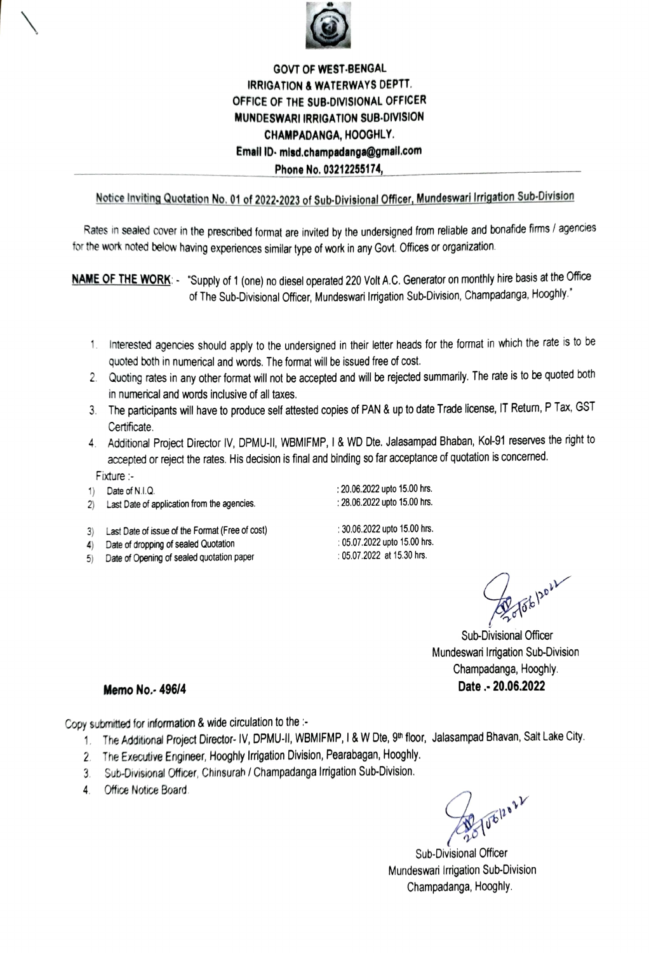

## GOVT OF WEST-BENGAL IRRIGATION& WATERWAYS DEPTT. OFFICE OF THE SUB-DIVISIONAL OFFICER MUNDESWARI IRRIGATION SUB-DIVISION CHAMPADANGA, HOOGHLY. Email 1D- misd.champadanga@gmail.com Phone No. 03212255174

## Notice Inviting Quotation No. 01 of 2022-2023 of Sub-Divisional Officer, Mundeswari Irigation Sub-Division

Rates in sealed cover in the prescribed format are invited by the undersigned from reliable and bonafide firms / agencies for the work noted below having experiences similar type of work in any Govt. Offices or organization.

NAME OF THE WORK: - "Supply of 1 (one) no diesel operated 220 Volt A.C. Generator on monthly hire basis at the Office of The Sub-Divisional Officer, Mundeswari Irrigation Sub-Division, Champadanga, Hooghly."

- 1. Interested agencies should apply to the undersigned in their letter heads for the format in which the rate is to be quoted both in numerical and words. The format will be issued free of cost.
- 2. Quoting rates in any other format will not be accepted and will be rejected summarily. The rate is to be quoted both in numenical and words inclusive of all taxes.
- 3 The participants will have to produce self atested copies of PAN & up to date Trede license, IT Retum, P Tax, GST Certificate.
- 4. Additional Project Director IV, DPMU-II, WBMIFMP, I & WD Dte. Jalasampad Bhaban, Kol-91 reserves the right to acepted or reject the rates. His decision is final and binding so far acceptance of quotation is concemed.
- Fixture :-
- 1) Date of N.I.Q
- 2) Last Date of application from the agencies.
- : 28.06.2022 upto 15.00 hrs.
- Last Date of issue of the Format (Free of cost)
- 4) Date of dropping of sealed Quotation
- 5) Date of Opening of sealed quotation paper
- :30.06.2022 upto 15.00 hrs. :05.07.2022 upto 15.00 hrs :05.07.2022 at 15.30 hrs.

:20.06.2022 upto 15.00 hrs.

Fob por

Sub-Divisional Officer Mundeswari Irigation Sub-Division Champadanga, Hooghly Memo No. - 496/4 Date . - 20.06.2022

Copy submitted for information & wide circulation to the :-

- 1. The Additional Project Director- IV, DPMU-II, WBMIFMP, I & W Dte, 9th floor, Jalasampad Bhavan, Salt Lake City.
- 2. The Executive Engineer, Hooghly Irrigation Division, Pearabagan, Hooghly.
- 3. Sub-Divisional Officer, Chinsurah / Champadanga Irrigation Sub-Division.
- 4. Office Notice Board

JUEROLLY

Sub-Divisional Officer Mundeswari Irrigation Sub-Division Champadanga, Hooghly.